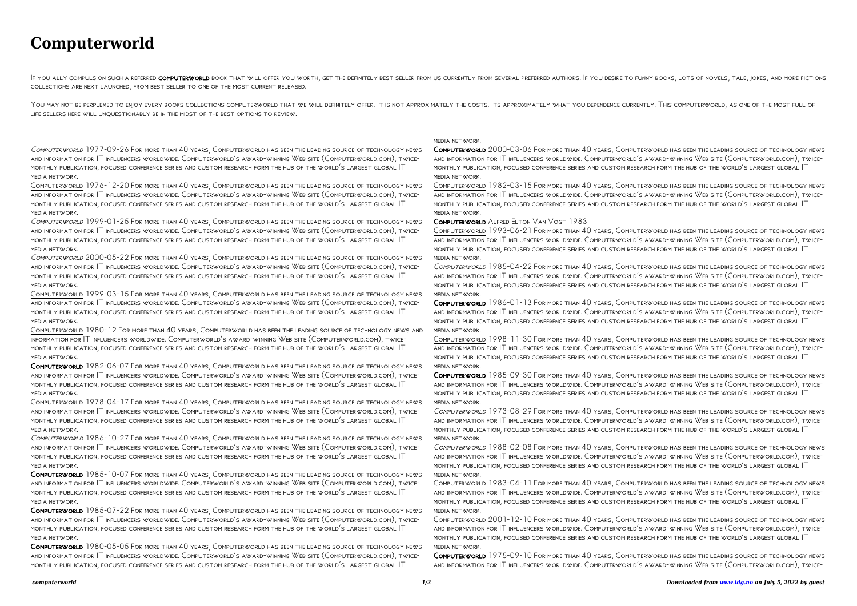## **Computerworld**

F YOU ALLY COMPULSION SUCH A REFERRED COMPUTERWORLD BOOK THAT WILL OFFER YOU WORTH, GET THE DEFINITELY BEST SELLER FROM US CURRENTLY FROM SEVERAL PREFERRED AUTHORS. IF YOU DESIRE TO FUNNY BOOKS, LOTS OF NOVELS, TALE, JOKES collections are next launched, from best seller to one of the most current released.

YOU MAY NOT BE PERPLEXED TO ENJOY EVERY BOOKS COLLECTIONS COMPUTERWORLD THAT WE WILL DEFINITELY OFFER. IT IS NOT APPROXIMATELY THE COSTS. ITS APPROXIMATELY WHAT YOU DEPENDENCE CURRENTLY. THIS COMPUTERWORLD, AS ONE OF THE M life sellers here will unquestionably be in the midst of the best options to review.

Computerworld 1976-12-20 For more than 40 years, Computerworld has been the leading source of technology news and information for IT influencers worldwide. Computerworld's award-winning Web site (Computerworld.com), twicemonthly publication, focused conference series and custom research form the hub of the world's largest global IT MEDIA NETWORK

## Computerworld 1977-09-26 For more than 40 years, Computerworld has been the leading source of technology news and information for IT influencers worldwide. Computerworld's award-winning Web site (Computerworld.com), twicemonthly publication, focused conference series and custom research form the hub of the world's largest global IT media network.

Computerworld 1999-01-25 For more than 40 years, Computerworld has been the leading source of technology news and information for IT influencers worldwide. Computerworld's award-winning Web site (Computerworld.com), twicemonthly publication, focused conference series and custom research form the hub of the world's largest global IT media network.

Computerworld 2000-05-22 For more than 40 years, Computerworld has been the leading source of technology news and information for IT influencers worldwide. Computerworld's award-winning Web site (Computerworld.com), twicemonthly publication, focused conference series and custom research form the hub of the world's largest global IT media network.

Computerworld 1999-03-15 For more than 40 years, Computerworld has been the leading source of technology news and information for IT influencers worldwide. Computerworld's award-winning Web site (Computerworld.com), twicemonthly publication, focused conference series and custom research form the hub of the world's largest global IT media network.

Computerworld 1980-12 For more than 40 years, Computerworld has been the leading source of technology news and information for IT influencers worldwide. Computerworld's award-winning Web site (Computerworld.com), twicemonthly publication, focused conference series and custom research form the hub of the world's largest global IT media network.

Computerworld 1982-06-07 For more than 40 years, Computerworld has been the leading source of technology news and information for IT influencers worldwide. Computerworld's award-winning Web site (Computerworld.com), twicemonthly publication, focused conference series and custom research form the hub of the world's largest global IT media network.

Computerworld 1986-01-13 For more than 40 years, Computerworld has been the leading source of technology news and information for IT influencers worldwide. Computerworld's award-winning Web site (Computerworld.com), twicemonthly publication, focused conference series and custom research form the hub of the world's largest global IT MEDIA NETWORK

Computerworld 1978-04-17 For more than 40 years, Computerworld has been the leading source of technology news and information for IT influencers worldwide. Computerworld's award-winning Web site (Computerworld.com), twicemonthly publication, focused conference series and custom research form the hub of the world's largest global IT media network.

Computerworld 1986-10-27 For more than 40 years, Computerworld has been the leading source of technology news and information for IT influencers worldwide. Computerworld's award-winning Web site (Computerworld.com), twicemonthly publication, focused conference series and custom research form the hub of the world's largest global IT media network.

Computerworld 1985-10-07 For more than 40 years, Computerworld has been the leading source of technology news and information for IT influencers worldwide. Computerworld's award-winning Web site (Computerworld.com), twicemonthly publication, focused conference series and custom research form the hub of the world's largest global IT media network.

Computerworld 1985-07-22 For more than 40 years, Computerworld has been the leading source of technology news and information for IT influencers worldwide. Computerworld's award-winning Web site (Computerworld.com), twicemonthly publication, focused conference series and custom research form the hub of the world's largest global IT media network.

Computerworld 1980-05-05 For more than 40 years, Computerworld has been the leading source of technology news and information for IT influencers worldwide. Computerworld's award-winning Web site (Computerworld.com), twicemonthly publication, focused conference series and custom research form the hub of the world's largest global IT

media network.

Computerworld 2000-03-06 For more than 40 years, Computerworld has been the leading source of technology news and information for IT influencers worldwide. Computerworld's award-winning Web site (Computerworld.com), twicemonthly publication, focused conference series and custom research form the hub of the world's largest global IT media network.

Computerworld 1982-03-15 For more than 40 years, Computerworld has been the leading source of technology news and information for IT influencers worldwide. Computerworld's award-winning Web site (Computerworld.com), twicemonthly publication, focused conference series and custom research form the hub of the world's largest global IT media network.

Computerworld Alfred Elton Van Vogt 1983

Computerworld 1993-06-21 For more than 40 years, Computerworld has been the leading source of technology news and information for IT influencers worldwide. Computerworld's award-winning Web site (Computerworld.com), twicemonthly publication, focused conference series and custom research form the hub of the world's largest global IT media network.

Computerworld 1985-04-22 For more than 40 years, Computerworld has been the leading source of technology news and information for IT influencers worldwide. Computerworld's award-winning Web site (Computerworld.com), twicemonthly publication, focused conference series and custom research form the hub of the world's largest global IT media network.

Computerworld 1998-11-30 For more than 40 years, Computerworld has been the leading source of technology news and information for IT influencers worldwide. Computerworld's award-winning Web site (Computerworld.com), twicemonthly publication, focused conference series and custom research form the hub of the world's largest global IT media network.

Computerworld 1985-09-30 For more than 40 years, Computerworld has been the leading source of technology news and information for IT influencers worldwide. Computerworld's award-winning Web site (Computerworld.com), twicemonthly publication, focused conference series and custom research form the hub of the world's largest global IT media network.

Computerworld 1973-08-29 For more than 40 years, Computerworld has been the leading source of technology news and information for IT influencers worldwide. Computerworld's award-winning Web site (Computerworld.com), twicemonthly publication, focused conference series and custom research form the hub of the world's largest global IT media network.

Computerworld 1988-02-08 For more than 40 years, Computerworld has been the leading source of technology news and information for IT influencers worldwide. Computerworld's award-winning Web site (Computerworld.com), twicemonthly publication, focused conference series and custom research form the hub of the world's largest global IT media network.

Computerworld 1983-04-11 For more than 40 years, Computerworld has been the leading source of technology news and information for IT influencers worldwide. Computerworld's award-winning Web site (Computerworld.com), twicemonthly publication, focused conference series and custom research form the hub of the world's largest global IT media network.

Computerworld 2001-12-10 For more than 40 years, Computerworld has been the leading source of technology news and information for IT influencers worldwide. Computerworld's award-winning Web site (Computerworld.com), twicemonthly publication, focused conference series and custom research form the hub of the world's largest global IT media network.

Computerworld 1975-09-10 For more than 40 years, Computerworld has been the leading source of technology news and information for IT influencers worldwide. Computerworld's award-winning Web site (Computerworld.com), twice